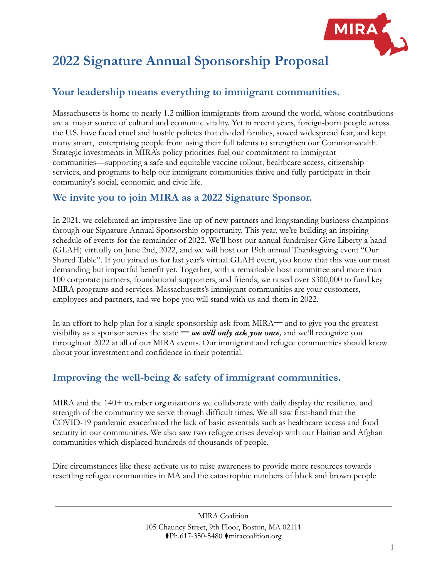

# **2022 Signature Annual Sponsorship Proposal**

# **Your leadership means everything to immigrant communities.**

Massachusetts is home to nearly 1.2 million immigrants from around the world, whose contributions are a major source of cultural and economic vitality. Yet in recent years, foreign-born people across the U.S. have faced cruel and hostile policies that divided families, sowed widespread fear, and kept many smart, enterprising people from using their full talents to strengthen our Commonwealth. Strategic investments in MIRA's policy priorities fuel our commitment to immigrant communities—supporting a safe and equitable vaccine rollout, healthcare access, citizenship services, and programs to help our immigrant communities thrive and fully participate in their community's social, economic, and civic life.

# **We invite you to join MIRA as a 2022 Signature Sponsor.**

In 2021, we celebrated an impressive line-up of new partners and longstanding business champions through our Signature Annual Sponsorship opportunity. This year, we're building an inspiring schedule of events for the remainder of 2022. We'll host our annual fundraiser Give Liberty a hand (GLAH) virtually on June 2nd, 2022, and we will host our 19th annual Thanksgiving event "Our Shared Table". If you joined us for last year's virtual GLAH event, you know that this was our most demanding but impactful benefit yet. Together, with a remarkable host committee and more than 100 corporate partners, foundational supporters, and friends, we raised over \$300,000 to fund key MIRA programs and services. Massachusetts's immigrant communities are your customers, employees and partners, and we hope you will stand with us and them in 2022.

In an effort to help plan for a single sponsorship ask from MIRA一 and to give you the greatest visibility as a sponsor across the state — *we will only ask you once*, and we'll recognize you throughout 2022 at all of our MIRA events. Our immigrant and refugee communities should know about your investment and confidence in their potential.

# **Improving the well-being & safety of immigrant communities.**

MIRA and the 140+ member organizations we collaborate with daily display the resilience and strength of the community we serve through difficult times. We all saw first-hand that the COVID-19 pandemic exacerbated the lack of basic essentials such as healthcare access and food security in our communities. We also saw two refugee crises develop with our Haitian and Afghan communities which displaced hundreds of thousands of people.

Dire circumstances like these activate us to raise awareness to provide more resources towards resettling refugee communities in MA and the catastrophic numbers of black and brown people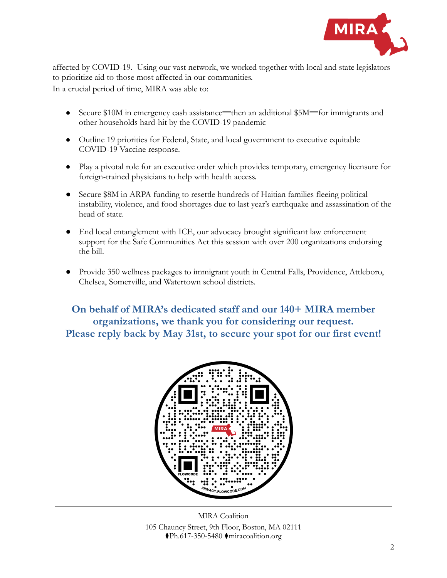

affected by COVID-19. Using our vast network, we worked together with local and state legislators to prioritize aid to those most affected in our communities. In a crucial period of time, MIRA was able to:

- Secure \$10M in emergency cash assistance—then an additional \$5M—for immigrants and other households hard-hit by the COVID-19 pandemic
- Outline 19 priorities for Federal, State, and local government to executive equitable COVID-19 Vaccine response.
- Play a pivotal role for an executive order which provides temporary, emergency licensure for foreign-trained physicians to help with health access.
- Secure \$8M in ARPA funding to resettle hundreds of Haitian families fleeing political instability, violence, and food shortages due to last year's earthquake and assassination of the head of state.
- End local entanglement with ICE, our advocacy brought significant law enforcement support for the Safe Communities Act this session with over 200 organizations endorsing the bill.
- Provide 350 wellness packages to immigrant youth in Central Falls, Providence, Attleboro, Chelsea, Somerville, and Watertown school districts.

**On behalf of MIRA's dedicated staff and our 140+ MIRA member organizations, we thank you for considering our request. Please reply back by May 31st, to secure your spot for our first event!**



MIRA Coalition 105 Chauncy Street, 9th Floor, Boston, MA 02111 ⧫Ph.617-350-5480 ⧫miracoalition.org